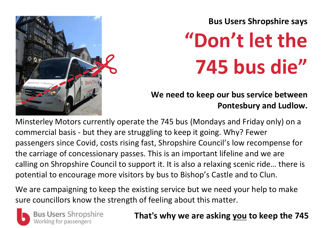

**Bus Users Shropshire says "Don't let the 745 bus die"**

 **We need to keep our bus service between Pontesbury and Ludlow.**

Minsterley Motors currently operate the 745 bus (Mondays and Friday only) on a commercial basis - but they are struggling to keep it going. Why? Fewer passengers since Covid, costs rising fast, Shropshire Council's low recompense for the carriage of concessionary passes. This is an important lifeline and we are calling on Shropshire Council to support it. It is also a relaxing scenic ride… there is potential to encourage more visitors by bus to Bishop's Castle and to Clun.

We are campaigning to keep the existing service but we need your help to make sure councillors know the strength of feeling about this matter.



**That's why we are asking you to keep the 745**